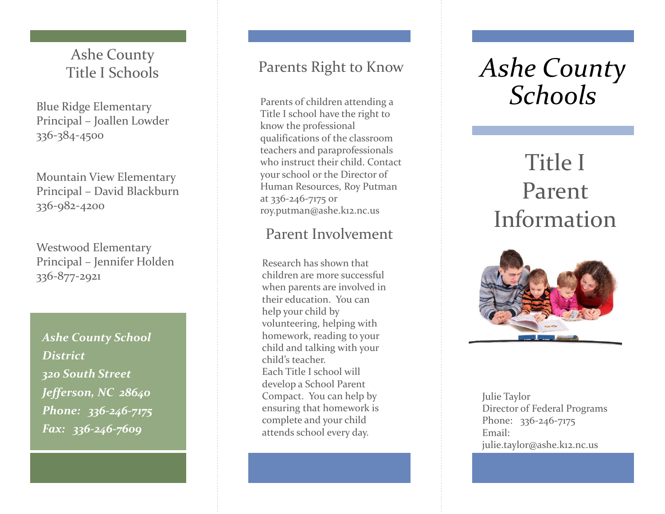Ashe County Title I Schools

Blue Ridge Elementary Principal – Joallen Lowder 336 -384 -4500

Mountain View Elementary Principal – David Blackburn 336 -982 -4200

Westwood Elementary Principal – Jennifer Holden 336 -877 -2921

*Ashe County School District 320 South Street Jefferson, NC 28640 Phone: 336 -246 -7175 Fax: 336 -246 -7609*

### Parents Right to Know

Parents of children attending a Title I school have the right to know the professional qualifications of the classroom teachers and paraprofessionals who instruct their child. Contact your school or the Director of Human Resources, Roy Putman at 336 -246 -7175 or roy.putman@ashe.k12.nc.us

### Parent Involvement

Research has shown that children are more successful when parents are involved in their education. You can help your child by volunteering, helping with homework, reading to your child and talking with your child's teacher. Each Title I school will develop a School Parent Compact. You can help by ensuring that homework is complete and your child attends school every day.

# *Ashe County Schools*

## Title I Parent Information



Julie Taylor Director of Federal Programs Phone: 336-246-7175 Email: julie.taylor@ashe.k12.nc.us